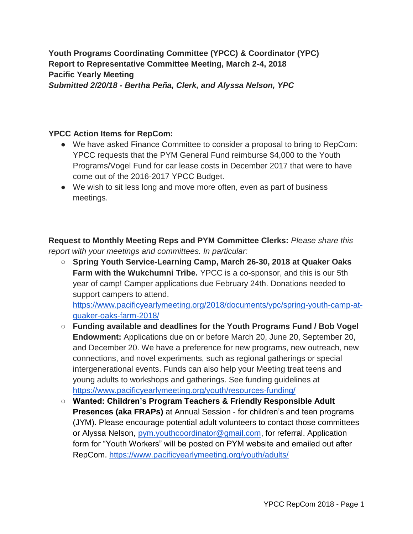**Youth Programs Coordinating Committee (YPCC) & Coordinator (YPC) Report to Representative Committee Meeting, March 2-4, 2018 Pacific Yearly Meeting** *Submitted 2/20/18 - Bertha Peña, Clerk, and Alyssa Nelson, YPC*

### **YPCC Action Items for RepCom:**

- We have asked Finance Committee to consider a proposal to bring to RepCom: YPCC requests that the PYM General Fund reimburse \$4,000 to the Youth Programs/Vogel Fund for car lease costs in December 2017 that were to have come out of the 2016-2017 YPCC Budget.
- We wish to sit less long and move more often, even as part of business meetings.

**Request to Monthly Meeting Reps and PYM Committee Clerks:** *Please share this report with your meetings and committees. In particular:*

○ **Spring Youth Service-Learning Camp, March 26-30, 2018 at Quaker Oaks Farm with the Wukchumni Tribe.** YPCC is a co-sponsor, and this is our 5th year of camp! Camper applications due February 24th. Donations needed to support campers to attend.

[https://www.pacificyearlymeeting.org/2018/documents/ypc/spring-youth-camp-at](https://www.pacificyearlymeeting.org/2018/documents/ypc/spring-youth-camp-at-quaker-oaks-farm-2018/)[quaker-oaks-farm-2018/](https://www.pacificyearlymeeting.org/2018/documents/ypc/spring-youth-camp-at-quaker-oaks-farm-2018/)

- **Funding available and deadlines for the Youth Programs Fund / Bob Vogel Endowment:** Applications due on or before March 20, June 20, September 20, and December 20. We have a preference for new programs, new outreach, new connections, and novel experiments, such as regional gatherings or special intergenerational events. Funds can also help your Meeting treat teens and young adults to workshops and gatherings. See funding guidelines at <https://www.pacificyearlymeeting.org/youth/resources-funding/>
- **Wanted: Children's Program Teachers & Friendly Responsible Adult Presences (aka FRAPs)** at Annual Session - for children's and teen programs (JYM). Please encourage potential adult volunteers to contact those committees or Alyssa Nelson, [pym.youthcoordinator@gmail.com,](mailto:pym.youthcoordinator@gmail.com) for referral. Application form for "Youth Workers" will be posted on PYM website and emailed out after RepCom.<https://www.pacificyearlymeeting.org/youth/adults/>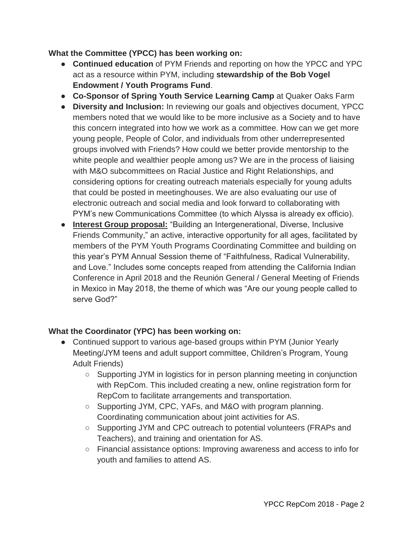### **What the Committee (YPCC) has been working on:**

- **Continued education** of PYM Friends and reporting on how the YPCC and YPC act as a resource within PYM, including **stewardship of the Bob Vogel Endowment / Youth Programs Fund**.
- **Co-Sponsor of Spring Youth Service Learning Camp** at Quaker Oaks Farm
- **Diversity and Inclusion:** In reviewing our goals and objectives document, YPCC members noted that we would like to be more inclusive as a Society and to have this concern integrated into how we work as a committee. How can we get more young people, People of Color, and individuals from other underrepresented groups involved with Friends? How could we better provide mentorship to the white people and wealthier people among us? We are in the process of liaising with M&O subcommittees on Racial Justice and Right Relationships, and considering options for creating outreach materials especially for young adults that could be posted in meetinghouses. We are also evaluating our use of electronic outreach and social media and look forward to collaborating with PYM's new Communications Committee (to which Alyssa is already ex officio).
- **Interest Group proposal:** "Building an Intergenerational, Diverse, Inclusive Friends Community," an active, interactive opportunity for all ages, facilitated by members of the PYM Youth Programs Coordinating Committee and building on this year's PYM Annual Session theme of "Faithfulness, Radical Vulnerability, and Love." Includes some concepts reaped from attending the California Indian Conference in April 2018 and the Reunión General / General Meeting of Friends in Mexico in May 2018, the theme of which was "Are our young people called to serve God?"

# **What the Coordinator (YPC) has been working on:**

- Continued support to various age-based groups within PYM (Junior Yearly Meeting/JYM teens and adult support committee, Children's Program, Young Adult Friends)
	- Supporting JYM in logistics for in person planning meeting in conjunction with RepCom. This included creating a new, online registration form for RepCom to facilitate arrangements and transportation.
	- Supporting JYM, CPC, YAFs, and M&O with program planning. Coordinating communication about joint activities for AS.
	- Supporting JYM and CPC outreach to potential volunteers (FRAPs and Teachers), and training and orientation for AS.
	- Financial assistance options: Improving awareness and access to info for youth and families to attend AS.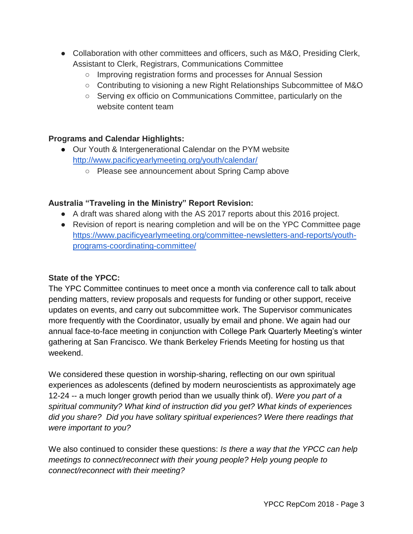- Collaboration with other committees and officers, such as M&O, Presiding Clerk, Assistant to Clerk, Registrars, Communications Committee
	- Improving registration forms and processes for Annual Session
	- Contributing to visioning a new Right Relationships Subcommittee of M&O
	- Serving ex officio on Communications Committee, particularly on the website content team

# **Programs and Calendar Highlights:**

- Our Youth & Intergenerational Calendar on the PYM website <http://www.pacificyearlymeeting.org/youth/calendar/>
	- Please see announcement about Spring Camp above

# **Australia "Traveling in the Ministry" Report Revision:**

- A draft was shared along with the AS 2017 reports about this 2016 project.
- Revision of report is nearing completion and will be on the YPC Committee page [https://www.pacificyearlymeeting.org/committee-newsletters-and-reports/youth](https://www.pacificyearlymeeting.org/committee-newsletters-and-reports/youth-programs-coordinating-committee/)[programs-coordinating-committee/](https://www.pacificyearlymeeting.org/committee-newsletters-and-reports/youth-programs-coordinating-committee/)

### **State of the YPCC:**

The YPC Committee continues to meet once a month via conference call to talk about pending matters, review proposals and requests for funding or other support, receive updates on events, and carry out subcommittee work. The Supervisor communicates more frequently with the Coordinator, usually by email and phone. We again had our annual face-to-face meeting in conjunction with College Park Quarterly Meeting's winter gathering at San Francisco. We thank Berkeley Friends Meeting for hosting us that weekend.

We considered these question in worship-sharing, reflecting on our own spiritual experiences as adolescents (defined by modern neuroscientists as approximately age 12-24 -- a much longer growth period than we usually think of). *Were you part of a spiritual community? What kind of instruction did you get? What kinds of experiences did you share? Did you have solitary spiritual experiences? Were there readings that were important to you?* 

We also continued to consider these questions: *Is there a way that the YPCC can help meetings to connect/reconnect with their young people? Help young people to connect/reconnect with their meeting?*